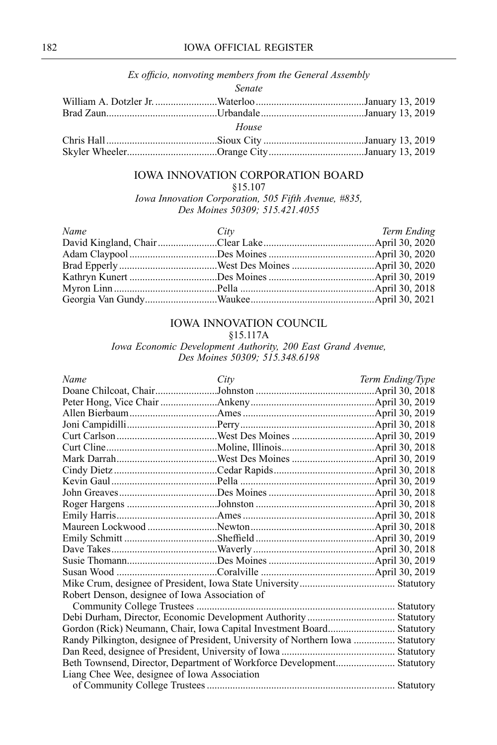| Ex officio, nonvoting members from the General Assembly |  |
|---------------------------------------------------------|--|
| Senate                                                  |  |
|                                                         |  |
|                                                         |  |
| House                                                   |  |
|                                                         |  |
|                                                         |  |

## IOWA INNOVATION CORPORATION BOARD

[§15.107](https://www.legis.iowa.gov/docs/code/15.107.pdf)

*Iowa Innovation Corporation, 505 Fifth Avenue, #835, Des Moines 50309; 515.421.4055*

| Name | City | Term Ending |
|------|------|-------------|
|      |      |             |
|      |      |             |
|      |      |             |
|      |      |             |
|      |      |             |
|      |      |             |

## IOWA INNOVATION COUNCIL

[§15.117A](https://www.legis.iowa.gov/docs/code/15.117a.pdf)

*Iowa Economic Development Authority, 200 East Grand Avenue, Des Moines 50309; 515.348.6198*

| City                                                                            | Term Ending/Type                                                       |
|---------------------------------------------------------------------------------|------------------------------------------------------------------------|
|                                                                                 |                                                                        |
|                                                                                 |                                                                        |
|                                                                                 |                                                                        |
|                                                                                 |                                                                        |
|                                                                                 |                                                                        |
|                                                                                 |                                                                        |
|                                                                                 |                                                                        |
|                                                                                 |                                                                        |
|                                                                                 |                                                                        |
|                                                                                 |                                                                        |
|                                                                                 |                                                                        |
|                                                                                 |                                                                        |
|                                                                                 |                                                                        |
|                                                                                 |                                                                        |
|                                                                                 |                                                                        |
|                                                                                 |                                                                        |
|                                                                                 |                                                                        |
|                                                                                 |                                                                        |
| Robert Denson, designee of Iowa Association of                                  |                                                                        |
|                                                                                 |                                                                        |
|                                                                                 |                                                                        |
|                                                                                 |                                                                        |
| Randy Pilkington, designee of President, University of Northern Iowa  Statutory |                                                                        |
|                                                                                 |                                                                        |
|                                                                                 |                                                                        |
| Liang Chee Wee, designee of Iowa Association                                    |                                                                        |
|                                                                                 |                                                                        |
|                                                                                 | Beth Townsend, Director, Department of Workforce Development Statutory |